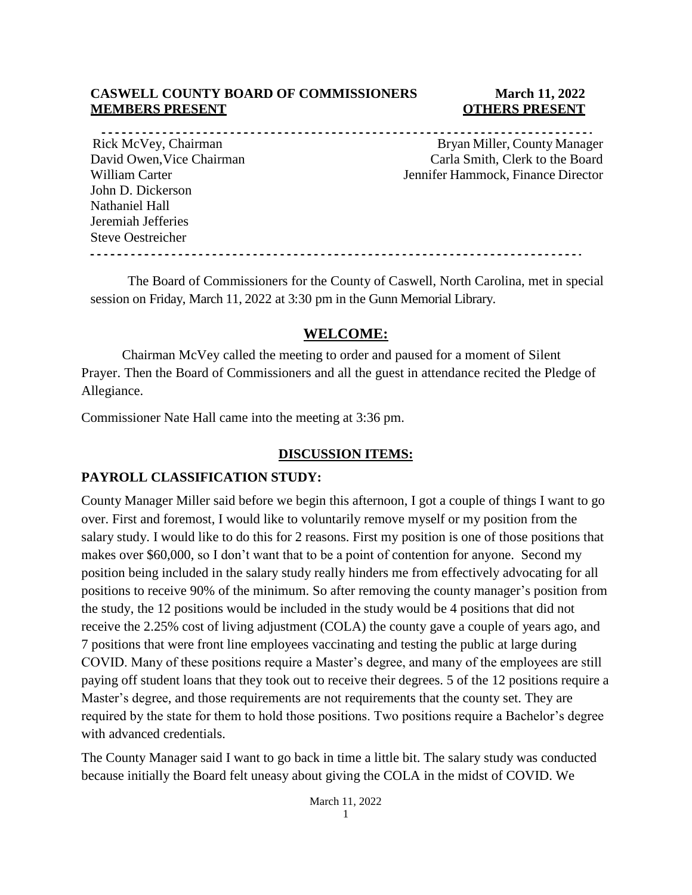#### **CASWELL COUNTY BOARD OF COMMISSIONERS March 11, 2022 MEMBERS PRESENT COLLEGE ASSESSED ASSESSED ASSESSED AT A LOCAL COLLEGE AND LOCAL COLLEGE AT A LOCAL COLLEGE AND LOCAL COLLEGE AT A LOCAL COLLEGE AND LOCAL COLLEGE AND LOCAL COLLEGE AND LOCAL COLLEGE AND LOCAL COLLEGE AND L**

John D. Dickerson Nathaniel Hall Jeremiah Jefferies Steve Oestreicher

Rick McVey, Chairman and Bryan Miller, County Manager David Owen, Vice Chairman Carla Smith, Clerk to the Board William Carter **Victor** Jennifer Hammock, Finance Director

The Board of Commissioners for the County of Caswell, North Carolina, met in special session on Friday, March 11, 2022 at 3:30 pm in the Gunn Memorial Library.

# **WELCOME:**

Chairman McVey called the meeting to order and paused for a moment of Silent Prayer. Then the Board of Commissioners and all the guest in attendance recited the Pledge of Allegiance.

Commissioner Nate Hall came into the meeting at 3:36 pm.

#### **DISCUSSION ITEMS:**

### **PAYROLL CLASSIFICATION STUDY:**

County Manager Miller said before we begin this afternoon, I got a couple of things I want to go over. First and foremost, I would like to voluntarily remove myself or my position from the salary study. I would like to do this for 2 reasons. First my position is one of those positions that makes over \$60,000, so I don't want that to be a point of contention for anyone. Second my position being included in the salary study really hinders me from effectively advocating for all positions to receive 90% of the minimum. So after removing the county manager's position from the study, the 12 positions would be included in the study would be 4 positions that did not receive the 2.25% cost of living adjustment (COLA) the county gave a couple of years ago, and 7 positions that were front line employees vaccinating and testing the public at large during COVID. Many of these positions require a Master's degree, and many of the employees are still paying off student loans that they took out to receive their degrees. 5 of the 12 positions require a Master's degree, and those requirements are not requirements that the county set. They are required by the state for them to hold those positions. Two positions require a Bachelor's degree with advanced credentials.

The County Manager said I want to go back in time a little bit. The salary study was conducted because initially the Board felt uneasy about giving the COLA in the midst of COVID. We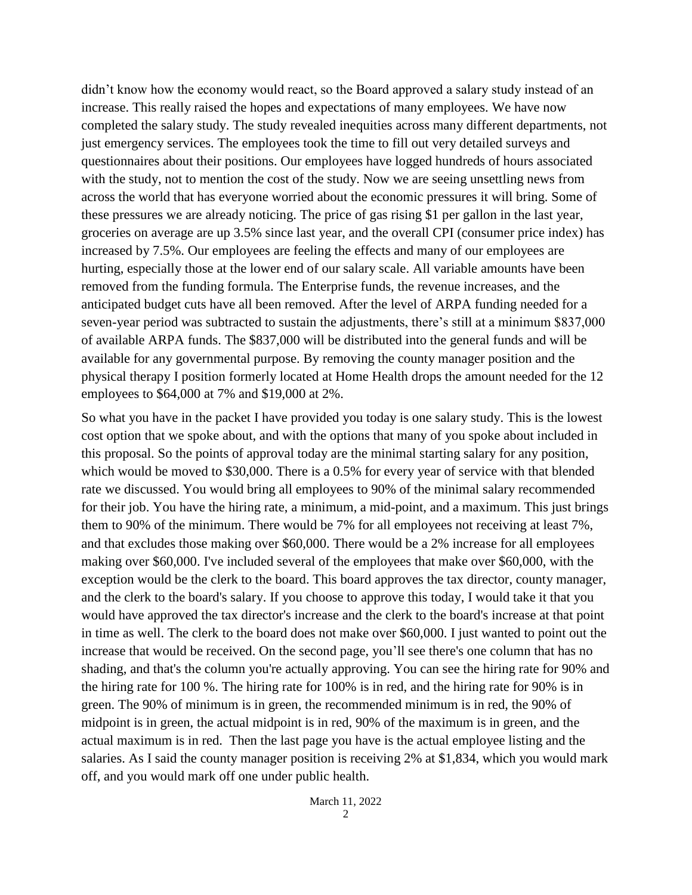didn't know how the economy would react, so the Board approved a salary study instead of an increase. This really raised the hopes and expectations of many employees. We have now completed the salary study. The study revealed inequities across many different departments, not just emergency services. The employees took the time to fill out very detailed surveys and questionnaires about their positions. Our employees have logged hundreds of hours associated with the study, not to mention the cost of the study. Now we are seeing unsettling news from across the world that has everyone worried about the economic pressures it will bring. Some of these pressures we are already noticing. The price of gas rising \$1 per gallon in the last year, groceries on average are up 3.5% since last year, and the overall CPI (consumer price index) has increased by 7.5%. Our employees are feeling the effects and many of our employees are hurting, especially those at the lower end of our salary scale. All variable amounts have been removed from the funding formula. The Enterprise funds, the revenue increases, and the anticipated budget cuts have all been removed. After the level of ARPA funding needed for a seven-year period was subtracted to sustain the adjustments, there's still at a minimum \$837,000 of available ARPA funds. The \$837,000 will be distributed into the general funds and will be available for any governmental purpose. By removing the county manager position and the physical therapy I position formerly located at Home Health drops the amount needed for the 12 employees to \$64,000 at 7% and \$19,000 at 2%.

So what you have in the packet I have provided you today is one salary study. This is the lowest cost option that we spoke about, and with the options that many of you spoke about included in this proposal. So the points of approval today are the minimal starting salary for any position, which would be moved to \$30,000. There is a 0.5% for every year of service with that blended rate we discussed. You would bring all employees to 90% of the minimal salary recommended for their job. You have the hiring rate, a minimum, a mid-point, and a maximum. This just brings them to 90% of the minimum. There would be 7% for all employees not receiving at least 7%, and that excludes those making over \$60,000. There would be a 2% increase for all employees making over \$60,000. I've included several of the employees that make over \$60,000, with the exception would be the clerk to the board. This board approves the tax director, county manager, and the clerk to the board's salary. If you choose to approve this today, I would take it that you would have approved the tax director's increase and the clerk to the board's increase at that point in time as well. The clerk to the board does not make over \$60,000. I just wanted to point out the increase that would be received. On the second page, you'll see there's one column that has no shading, and that's the column you're actually approving. You can see the hiring rate for 90% and the hiring rate for 100 %. The hiring rate for 100% is in red, and the hiring rate for 90% is in green. The 90% of minimum is in green, the recommended minimum is in red, the 90% of midpoint is in green, the actual midpoint is in red, 90% of the maximum is in green, and the actual maximum is in red. Then the last page you have is the actual employee listing and the salaries. As I said the county manager position is receiving 2% at \$1,834, which you would mark off, and you would mark off one under public health.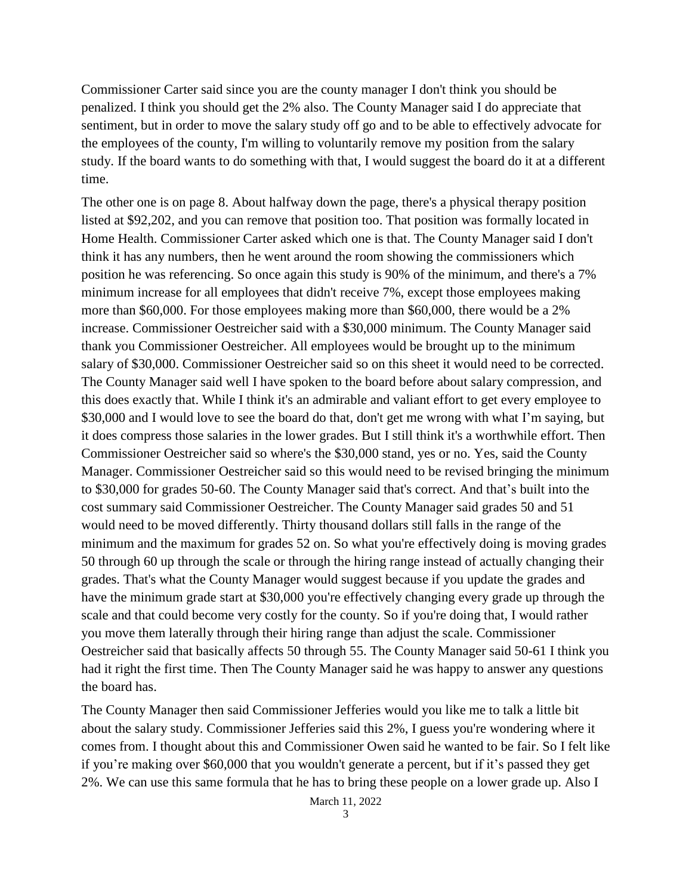Commissioner Carter said since you are the county manager I don't think you should be penalized. I think you should get the 2% also. The County Manager said I do appreciate that sentiment, but in order to move the salary study off go and to be able to effectively advocate for the employees of the county, I'm willing to voluntarily remove my position from the salary study. If the board wants to do something with that, I would suggest the board do it at a different time.

The other one is on page 8. About halfway down the page, there's a physical therapy position listed at \$92,202, and you can remove that position too. That position was formally located in Home Health. Commissioner Carter asked which one is that. The County Manager said I don't think it has any numbers, then he went around the room showing the commissioners which position he was referencing. So once again this study is 90% of the minimum, and there's a 7% minimum increase for all employees that didn't receive 7%, except those employees making more than \$60,000. For those employees making more than \$60,000, there would be a 2% increase. Commissioner Oestreicher said with a \$30,000 minimum. The County Manager said thank you Commissioner Oestreicher. All employees would be brought up to the minimum salary of \$30,000. Commissioner Oestreicher said so on this sheet it would need to be corrected. The County Manager said well I have spoken to the board before about salary compression, and this does exactly that. While I think it's an admirable and valiant effort to get every employee to \$30,000 and I would love to see the board do that, don't get me wrong with what I'm saying, but it does compress those salaries in the lower grades. But I still think it's a worthwhile effort. Then Commissioner Oestreicher said so where's the \$30,000 stand, yes or no. Yes, said the County Manager. Commissioner Oestreicher said so this would need to be revised bringing the minimum to \$30,000 for grades 50-60. The County Manager said that's correct. And that's built into the cost summary said Commissioner Oestreicher. The County Manager said grades 50 and 51 would need to be moved differently. Thirty thousand dollars still falls in the range of the minimum and the maximum for grades 52 on. So what you're effectively doing is moving grades 50 through 60 up through the scale or through the hiring range instead of actually changing their grades. That's what the County Manager would suggest because if you update the grades and have the minimum grade start at \$30,000 you're effectively changing every grade up through the scale and that could become very costly for the county. So if you're doing that, I would rather you move them laterally through their hiring range than adjust the scale. Commissioner Oestreicher said that basically affects 50 through 55. The County Manager said 50-61 I think you had it right the first time. Then The County Manager said he was happy to answer any questions the board has.

The County Manager then said Commissioner Jefferies would you like me to talk a little bit about the salary study. Commissioner Jefferies said this 2%, I guess you're wondering where it comes from. I thought about this and Commissioner Owen said he wanted to be fair. So I felt like if you're making over \$60,000 that you wouldn't generate a percent, but if it's passed they get 2%. We can use this same formula that he has to bring these people on a lower grade up. Also I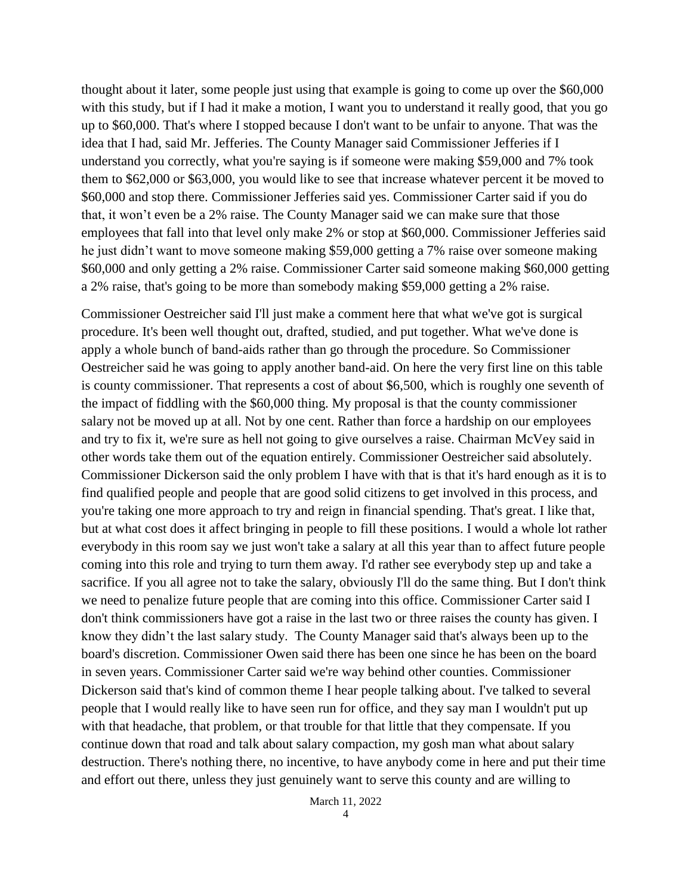thought about it later, some people just using that example is going to come up over the \$60,000 with this study, but if I had it make a motion, I want you to understand it really good, that you go up to \$60,000. That's where I stopped because I don't want to be unfair to anyone. That was the idea that I had, said Mr. Jefferies. The County Manager said Commissioner Jefferies if I understand you correctly, what you're saying is if someone were making \$59,000 and 7% took them to \$62,000 or \$63,000, you would like to see that increase whatever percent it be moved to \$60,000 and stop there. Commissioner Jefferies said yes. Commissioner Carter said if you do that, it won't even be a 2% raise. The County Manager said we can make sure that those employees that fall into that level only make 2% or stop at \$60,000. Commissioner Jefferies said he just didn't want to move someone making \$59,000 getting a 7% raise over someone making \$60,000 and only getting a 2% raise. Commissioner Carter said someone making \$60,000 getting a 2% raise, that's going to be more than somebody making \$59,000 getting a 2% raise.

Commissioner Oestreicher said I'll just make a comment here that what we've got is surgical procedure. It's been well thought out, drafted, studied, and put together. What we've done is apply a whole bunch of band-aids rather than go through the procedure. So Commissioner Oestreicher said he was going to apply another band-aid. On here the very first line on this table is county commissioner. That represents a cost of about \$6,500, which is roughly one seventh of the impact of fiddling with the \$60,000 thing. My proposal is that the county commissioner salary not be moved up at all. Not by one cent. Rather than force a hardship on our employees and try to fix it, we're sure as hell not going to give ourselves a raise. Chairman McVey said in other words take them out of the equation entirely. Commissioner Oestreicher said absolutely. Commissioner Dickerson said the only problem I have with that is that it's hard enough as it is to find qualified people and people that are good solid citizens to get involved in this process, and you're taking one more approach to try and reign in financial spending. That's great. I like that, but at what cost does it affect bringing in people to fill these positions. I would a whole lot rather everybody in this room say we just won't take a salary at all this year than to affect future people coming into this role and trying to turn them away. I'd rather see everybody step up and take a sacrifice. If you all agree not to take the salary, obviously I'll do the same thing. But I don't think we need to penalize future people that are coming into this office. Commissioner Carter said I don't think commissioners have got a raise in the last two or three raises the county has given. I know they didn't the last salary study. The County Manager said that's always been up to the board's discretion. Commissioner Owen said there has been one since he has been on the board in seven years. Commissioner Carter said we're way behind other counties. Commissioner Dickerson said that's kind of common theme I hear people talking about. I've talked to several people that I would really like to have seen run for office, and they say man I wouldn't put up with that headache, that problem, or that trouble for that little that they compensate. If you continue down that road and talk about salary compaction, my gosh man what about salary destruction. There's nothing there, no incentive, to have anybody come in here and put their time and effort out there, unless they just genuinely want to serve this county and are willing to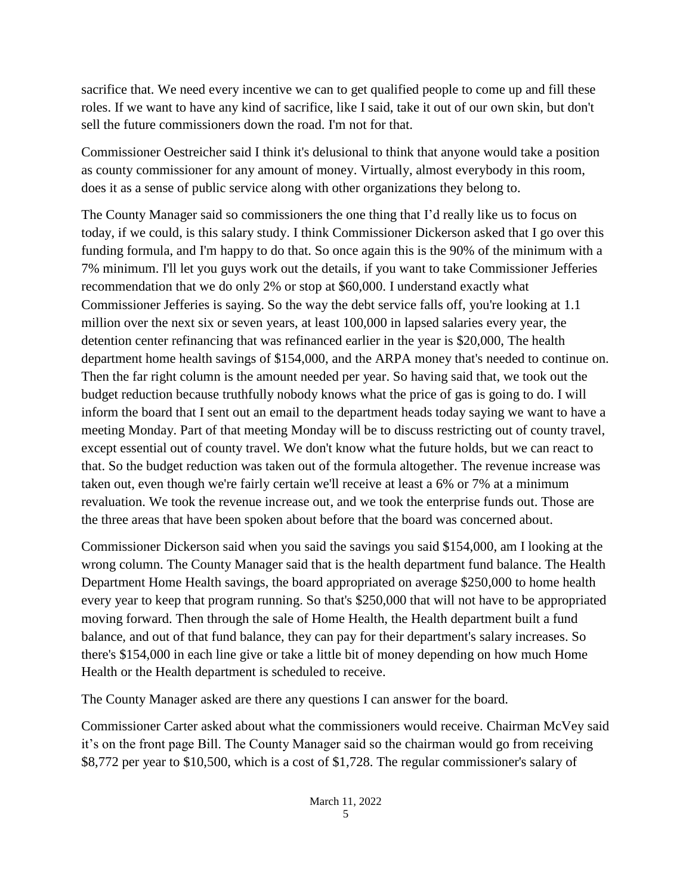sacrifice that. We need every incentive we can to get qualified people to come up and fill these roles. If we want to have any kind of sacrifice, like I said, take it out of our own skin, but don't sell the future commissioners down the road. I'm not for that.

Commissioner Oestreicher said I think it's delusional to think that anyone would take a position as county commissioner for any amount of money. Virtually, almost everybody in this room, does it as a sense of public service along with other organizations they belong to.

The County Manager said so commissioners the one thing that I'd really like us to focus on today, if we could, is this salary study. I think Commissioner Dickerson asked that I go over this funding formula, and I'm happy to do that. So once again this is the 90% of the minimum with a 7% minimum. I'll let you guys work out the details, if you want to take Commissioner Jefferies recommendation that we do only 2% or stop at \$60,000. I understand exactly what Commissioner Jefferies is saying. So the way the debt service falls off, you're looking at 1.1 million over the next six or seven years, at least 100,000 in lapsed salaries every year, the detention center refinancing that was refinanced earlier in the year is \$20,000, The health department home health savings of \$154,000, and the ARPA money that's needed to continue on. Then the far right column is the amount needed per year. So having said that, we took out the budget reduction because truthfully nobody knows what the price of gas is going to do. I will inform the board that I sent out an email to the department heads today saying we want to have a meeting Monday. Part of that meeting Monday will be to discuss restricting out of county travel, except essential out of county travel. We don't know what the future holds, but we can react to that. So the budget reduction was taken out of the formula altogether. The revenue increase was taken out, even though we're fairly certain we'll receive at least a 6% or 7% at a minimum revaluation. We took the revenue increase out, and we took the enterprise funds out. Those are the three areas that have been spoken about before that the board was concerned about.

Commissioner Dickerson said when you said the savings you said \$154,000, am I looking at the wrong column. The County Manager said that is the health department fund balance. The Health Department Home Health savings, the board appropriated on average \$250,000 to home health every year to keep that program running. So that's \$250,000 that will not have to be appropriated moving forward. Then through the sale of Home Health, the Health department built a fund balance, and out of that fund balance, they can pay for their department's salary increases. So there's \$154,000 in each line give or take a little bit of money depending on how much Home Health or the Health department is scheduled to receive.

The County Manager asked are there any questions I can answer for the board.

Commissioner Carter asked about what the commissioners would receive. Chairman McVey said it's on the front page Bill. The County Manager said so the chairman would go from receiving \$8,772 per year to \$10,500, which is a cost of \$1,728. The regular commissioner's salary of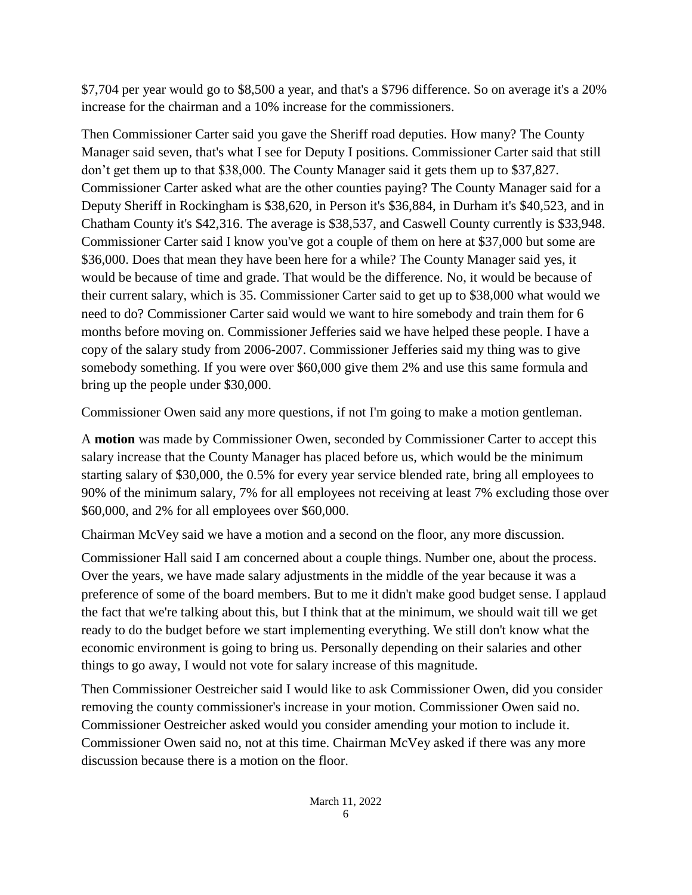\$7,704 per year would go to \$8,500 a year, and that's a \$796 difference. So on average it's a 20% increase for the chairman and a 10% increase for the commissioners.

Then Commissioner Carter said you gave the Sheriff road deputies. How many? The County Manager said seven, that's what I see for Deputy I positions. Commissioner Carter said that still don't get them up to that \$38,000. The County Manager said it gets them up to \$37,827. Commissioner Carter asked what are the other counties paying? The County Manager said for a Deputy Sheriff in Rockingham is \$38,620, in Person it's \$36,884, in Durham it's \$40,523, and in Chatham County it's \$42,316. The average is \$38,537, and Caswell County currently is \$33,948. Commissioner Carter said I know you've got a couple of them on here at \$37,000 but some are \$36,000. Does that mean they have been here for a while? The County Manager said yes, it would be because of time and grade. That would be the difference. No, it would be because of their current salary, which is 35. Commissioner Carter said to get up to \$38,000 what would we need to do? Commissioner Carter said would we want to hire somebody and train them for 6 months before moving on. Commissioner Jefferies said we have helped these people. I have a copy of the salary study from 2006-2007. Commissioner Jefferies said my thing was to give somebody something. If you were over \$60,000 give them 2% and use this same formula and bring up the people under \$30,000.

Commissioner Owen said any more questions, if not I'm going to make a motion gentleman.

A **motion** was made by Commissioner Owen, seconded by Commissioner Carter to accept this salary increase that the County Manager has placed before us, which would be the minimum starting salary of \$30,000, the 0.5% for every year service blended rate, bring all employees to 90% of the minimum salary, 7% for all employees not receiving at least 7% excluding those over \$60,000, and 2% for all employees over \$60,000.

Chairman McVey said we have a motion and a second on the floor, any more discussion.

Commissioner Hall said I am concerned about a couple things. Number one, about the process. Over the years, we have made salary adjustments in the middle of the year because it was a preference of some of the board members. But to me it didn't make good budget sense. I applaud the fact that we're talking about this, but I think that at the minimum, we should wait till we get ready to do the budget before we start implementing everything. We still don't know what the economic environment is going to bring us. Personally depending on their salaries and other things to go away, I would not vote for salary increase of this magnitude.

Then Commissioner Oestreicher said I would like to ask Commissioner Owen, did you consider removing the county commissioner's increase in your motion. Commissioner Owen said no. Commissioner Oestreicher asked would you consider amending your motion to include it. Commissioner Owen said no, not at this time. Chairman McVey asked if there was any more discussion because there is a motion on the floor.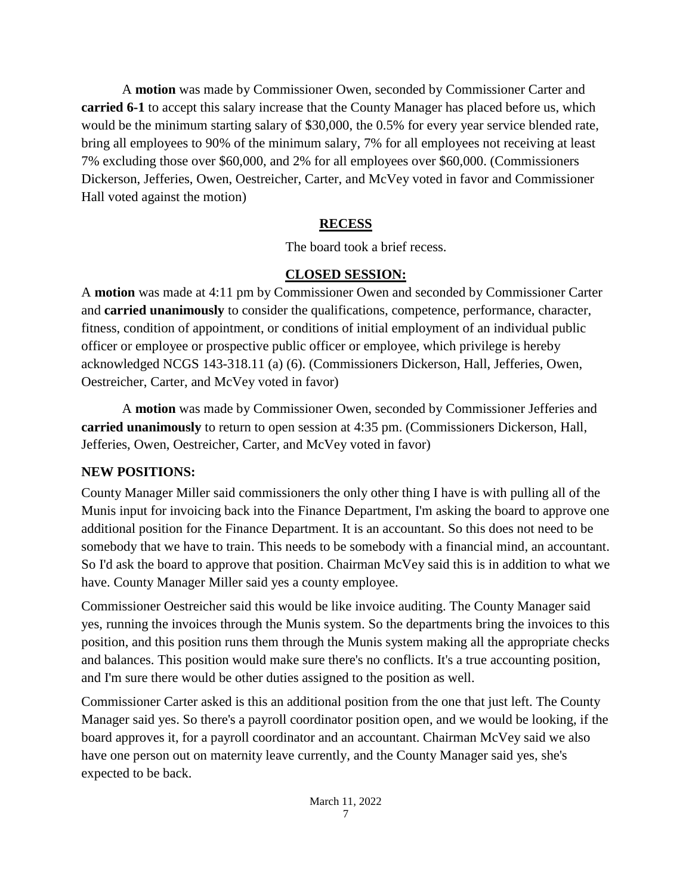A **motion** was made by Commissioner Owen, seconded by Commissioner Carter and **carried 6-1** to accept this salary increase that the County Manager has placed before us, which would be the minimum starting salary of \$30,000, the 0.5% for every year service blended rate, bring all employees to 90% of the minimum salary, 7% for all employees not receiving at least 7% excluding those over \$60,000, and 2% for all employees over \$60,000. (Commissioners Dickerson, Jefferies, Owen, Oestreicher, Carter, and McVey voted in favor and Commissioner Hall voted against the motion)

# **RECESS**

The board took a brief recess.

# **CLOSED SESSION:**

A **motion** was made at 4:11 pm by Commissioner Owen and seconded by Commissioner Carter and **carried unanimously** to consider the qualifications, competence, performance, character, fitness, condition of appointment, or conditions of initial employment of an individual public officer or employee or prospective public officer or employee, which privilege is hereby acknowledged NCGS 143-318.11 (a) (6). (Commissioners Dickerson, Hall, Jefferies, Owen, Oestreicher, Carter, and McVey voted in favor)

A **motion** was made by Commissioner Owen, seconded by Commissioner Jefferies and **carried unanimously** to return to open session at 4:35 pm. (Commissioners Dickerson, Hall, Jefferies, Owen, Oestreicher, Carter, and McVey voted in favor)

# **NEW POSITIONS:**

County Manager Miller said commissioners the only other thing I have is with pulling all of the Munis input for invoicing back into the Finance Department, I'm asking the board to approve one additional position for the Finance Department. It is an accountant. So this does not need to be somebody that we have to train. This needs to be somebody with a financial mind, an accountant. So I'd ask the board to approve that position. Chairman McVey said this is in addition to what we have. County Manager Miller said yes a county employee.

Commissioner Oestreicher said this would be like invoice auditing. The County Manager said yes, running the invoices through the Munis system. So the departments bring the invoices to this position, and this position runs them through the Munis system making all the appropriate checks and balances. This position would make sure there's no conflicts. It's a true accounting position, and I'm sure there would be other duties assigned to the position as well.

Commissioner Carter asked is this an additional position from the one that just left. The County Manager said yes. So there's a payroll coordinator position open, and we would be looking, if the board approves it, for a payroll coordinator and an accountant. Chairman McVey said we also have one person out on maternity leave currently, and the County Manager said yes, she's expected to be back.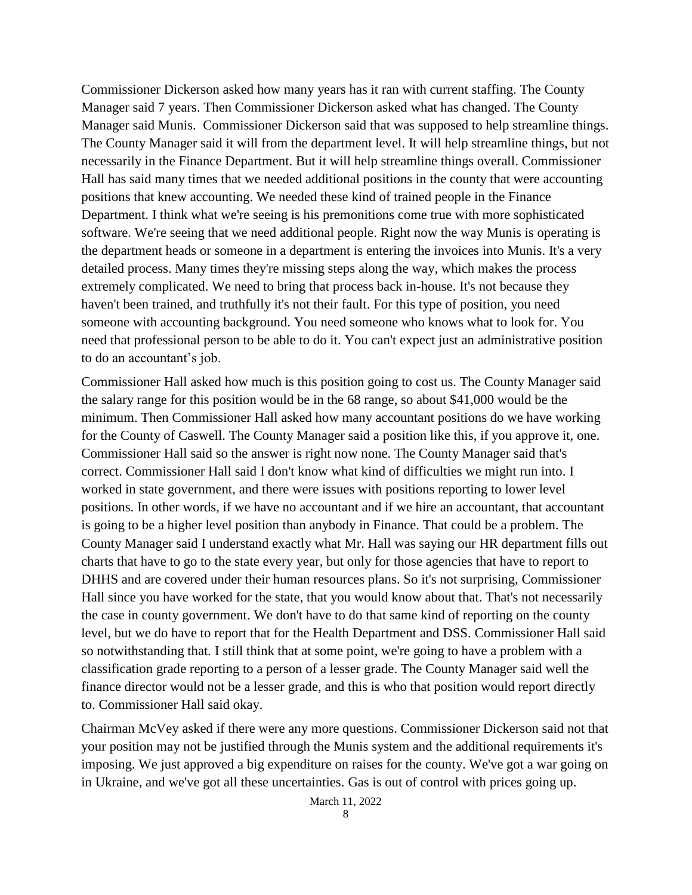Commissioner Dickerson asked how many years has it ran with current staffing. The County Manager said 7 years. Then Commissioner Dickerson asked what has changed. The County Manager said Munis. Commissioner Dickerson said that was supposed to help streamline things. The County Manager said it will from the department level. It will help streamline things, but not necessarily in the Finance Department. But it will help streamline things overall. Commissioner Hall has said many times that we needed additional positions in the county that were accounting positions that knew accounting. We needed these kind of trained people in the Finance Department. I think what we're seeing is his premonitions come true with more sophisticated software. We're seeing that we need additional people. Right now the way Munis is operating is the department heads or someone in a department is entering the invoices into Munis. It's a very detailed process. Many times they're missing steps along the way, which makes the process extremely complicated. We need to bring that process back in-house. It's not because they haven't been trained, and truthfully it's not their fault. For this type of position, you need someone with accounting background. You need someone who knows what to look for. You need that professional person to be able to do it. You can't expect just an administrative position to do an accountant's job.

Commissioner Hall asked how much is this position going to cost us. The County Manager said the salary range for this position would be in the 68 range, so about \$41,000 would be the minimum. Then Commissioner Hall asked how many accountant positions do we have working for the County of Caswell. The County Manager said a position like this, if you approve it, one. Commissioner Hall said so the answer is right now none. The County Manager said that's correct. Commissioner Hall said I don't know what kind of difficulties we might run into. I worked in state government, and there were issues with positions reporting to lower level positions. In other words, if we have no accountant and if we hire an accountant, that accountant is going to be a higher level position than anybody in Finance. That could be a problem. The County Manager said I understand exactly what Mr. Hall was saying our HR department fills out charts that have to go to the state every year, but only for those agencies that have to report to DHHS and are covered under their human resources plans. So it's not surprising, Commissioner Hall since you have worked for the state, that you would know about that. That's not necessarily the case in county government. We don't have to do that same kind of reporting on the county level, but we do have to report that for the Health Department and DSS. Commissioner Hall said so notwithstanding that. I still think that at some point, we're going to have a problem with a classification grade reporting to a person of a lesser grade. The County Manager said well the finance director would not be a lesser grade, and this is who that position would report directly to. Commissioner Hall said okay.

Chairman McVey asked if there were any more questions. Commissioner Dickerson said not that your position may not be justified through the Munis system and the additional requirements it's imposing. We just approved a big expenditure on raises for the county. We've got a war going on in Ukraine, and we've got all these uncertainties. Gas is out of control with prices going up.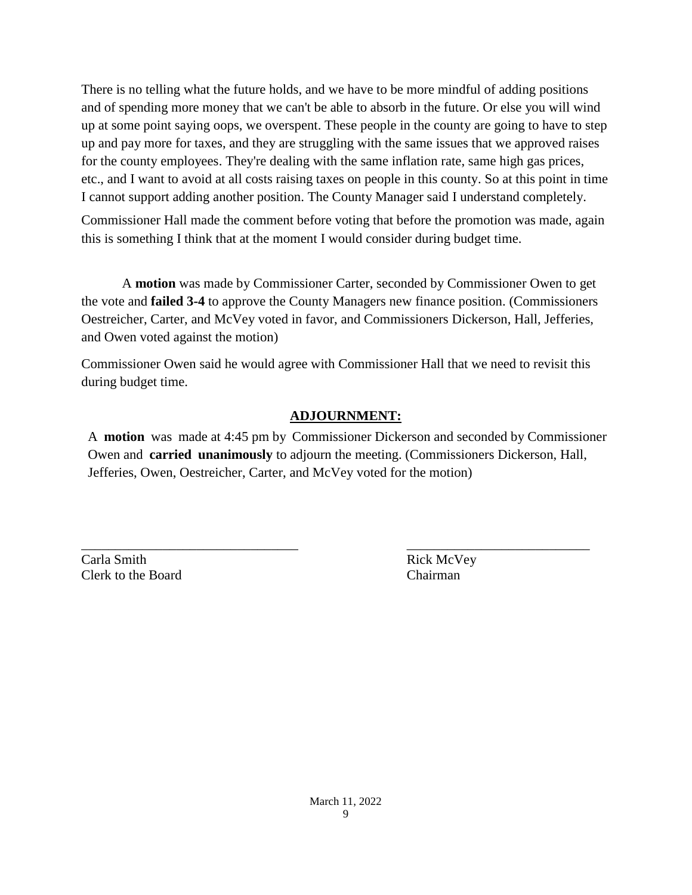There is no telling what the future holds, and we have to be more mindful of adding positions and of spending more money that we can't be able to absorb in the future. Or else you will wind up at some point saying oops, we overspent. These people in the county are going to have to step up and pay more for taxes, and they are struggling with the same issues that we approved raises for the county employees. They're dealing with the same inflation rate, same high gas prices, etc., and I want to avoid at all costs raising taxes on people in this county. So at this point in time I cannot support adding another position. The County Manager said I understand completely.

Commissioner Hall made the comment before voting that before the promotion was made, again this is something I think that at the moment I would consider during budget time.

A **motion** was made by Commissioner Carter, seconded by Commissioner Owen to get the vote and **failed 3-4** to approve the County Managers new finance position. (Commissioners Oestreicher, Carter, and McVey voted in favor, and Commissioners Dickerson, Hall, Jefferies, and Owen voted against the motion)

Commissioner Owen said he would agree with Commissioner Hall that we need to revisit this during budget time.

# **ADJOURNMENT:**

A **motion** was made at 4:45 pm by Commissioner Dickerson and seconded by Commissioner Owen and **carried unanimously** to adjourn the meeting. (Commissioners Dickerson, Hall, Jefferies, Owen, Oestreicher, Carter, and McVey voted for the motion)

\_\_\_\_\_\_\_\_\_\_\_\_\_\_\_\_\_\_\_\_\_\_\_\_\_\_\_\_\_\_\_\_ \_\_\_\_\_\_\_\_\_\_\_\_\_\_\_\_\_\_\_\_\_\_\_\_\_\_\_

Carla Smith Rick McVey Clerk to the Board Chairman